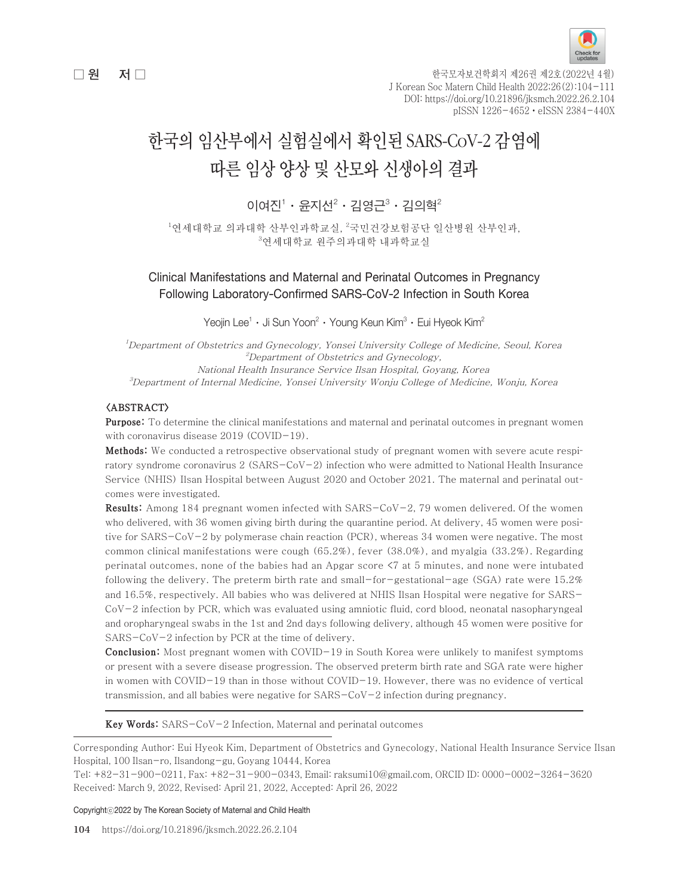

 $\Box$  원 전 그 한국모자보건학회지 제26권 제2호(2022년 4월) J Korean Soc Matern Child Health 2022;26(2):104-111 DOI: https://doi.org/10.21896/jksmch.2022.26.2.104 pISSN 1226-4652ㆍeISSN 2384-440X

# 한국의 임산부에서 실험실에서 확인된 SARS-CoV-2 감염에 따른 임상 양상 및 산모와 신생아의 결과

## 이여진 $^1 \cdot$  윤지선 $^2 \cdot$  김영근 $^3 \cdot$  김의혁 $^2$

 $^{\rm l}$ 연세대학교 의과대학 산부인과학교실,  $^{\rm 2}$ 국민건강보험공단 일산병원 산부인과, 3 연세대학교 원주의과대학 내과학교실

## Clinical Manifestations and Maternal and Perinatal Outcomes in Pregnancy Following Laboratory-Confirmed SARS-CoV-2 Infection in South Korea

Yeojin Lee $^1\cdot$  Ji Sun Yoon $^2\cdot$  Young Keun Kim $^3\cdot$  Eui Hyeok Kim $^2$ 

1 Department of Obstetrics and Gynecology, Yonsei University College of Medicine, Seoul, Korea  $^2$ Department of Obstetrics and Gynecology, National Health Insurance Service Ilsan Hospital, Goyang, Korea 3 Department of Internal Medicine, Yonsei University Wonju College of Medicine, Wonju, Korea

#### <ABSTRACT>

Purpose: To determine the clinical manifestations and maternal and perinatal outcomes in pregnant women with coronavirus disease 2019 (COVID-19).

Methods: We conducted a retrospective observational study of pregnant women with severe acute respiratory syndrome coronavirus 2 (SARS-CoV-2) infection who were admitted to National Health Insurance Service (NHIS) Ilsan Hospital between August 2020 and October 2021. The maternal and perinatal outcomes were investigated.

Results: Among 184 pregnant women infected with SARS-CoV-2, 79 women delivered. Of the women who delivered, with 36 women giving birth during the quarantine period. At delivery, 45 women were positive for SARS-CoV-2 by polymerase chain reaction (PCR), whereas 34 women were negative. The most common clinical manifestations were cough (65.2%), fever (38.0%), and myalgia (33.2%). Regarding perinatal outcomes, none of the babies had an Apgar score <7 at 5 minutes, and none were intubated following the delivery. The preterm birth rate and small-for-gestational-age (SGA) rate were  $15.2\%$ and 16.5%, respectively. All babies who was delivered at NHIS Ilsan Hospital were negative for SARS- $CoV-2$  infection by PCR, which was evaluated using amniotic fluid, cord blood, neonatal nasopharyngeal and oropharyngeal swabs in the 1st and 2nd days following delivery, although 45 women were positive for SARS-CoV-2 infection by PCR at the time of delivery.

Conclusion: Most pregnant women with COVID-19 in South Korea were unlikely to manifest symptoms or present with a severe disease progression. The observed preterm birth rate and SGA rate were higher in women with COVID-19 than in those without COVID-19. However, there was no evidence of vertical transmission, and all babies were negative for SARS-CoV-2 infection during pregnancy.

Key Words: SARS-CoV-2 Infection, Maternal and perinatal outcomes

Corresponding Author: Eui Hyeok Kim, Department of Obstetrics and Gynecology, National Health Insurance Service Ilsan Hospital, 100 Ilsan-ro, Ilsandong-gu, Goyang 10444, Korea

Tel: +82-31-900-0211, Fax: +82-31-900-0343, Email: raksumi10@gmail.com, ORCID ID: 0000-0002-3264-3620 Received: March 9, 2022, Revised: April 21, 2022, Accepted: April 26, 2022

Copyrightⓒ2022 by The Korean Society of Maternal and Child Health

104 https://doi.org/10.21896/jksmch.2022.26.2.104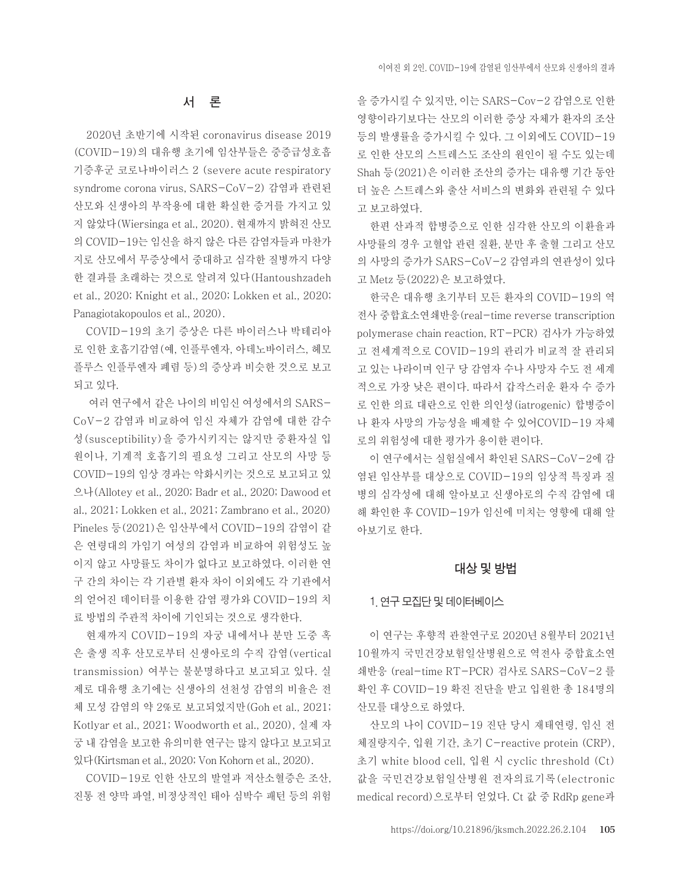#### 서 론

2020년 초반기에 시작된 coronavirus disease 2019 (COVID-19)의 대유행 초기에 임산부들은 중증급성호흡 기증후군 코로나바이러스 2 (severe acute respiratory syndrome corona virus, SARS-CoV-2) 감염과 관련된 산모와 신생아의 부작용에 대한 확실한 증거를 가지고 있 지 않았다(Wiersinga et al., 2020). 현재까지 밝혀진 산모 의 COVID-19는 임신을 하지 않은 다른 감염자들과 마찬가 지로 산모에서 무증상에서 중대하고 심각한 질병까지 다양 한 결과를 초래하는 것으로 알려져 있다(Hantoushzadeh et al., 2020; Knight et al., 2020; Lokken et al., 2020; Panagiotakopoulos et al., 2020).

COVID-19의 초기 증상은 다른 바이러스나 박테리아 로 인한 호흡기감염(예, 인플루엔자, 아데노바이러스, 헤모 플루스 인플루엔자 폐렴 등)의 증상과 비슷한 것으로 보고 되고 있다.

 여러 연구에서 같은 나이의 비임신 여성에서의 SARS-CoV-2 감염과 비교하여 임신 자체가 감염에 대한 감수 성(susceptibility)을 증가시키지는 않지만 중환자실 입 원이나, 기계적 호흡기의 필요성 그리고 산모의 사망 등 COVID-19의 임상 경과는 악화시키는 것으로 보고되고 있 으나(Allotey et al., 2020; Badr et al., 2020; Dawood et al., 2021; Lokken et al., 2021; Zambrano et al., 2020) Pineles 등(2021)은 임산부에서 COVID-19의 감염이 같 은 연령대의 가임기 여성의 감염과 비교하여 위험성도 높 이지 않고 사망률도 차이가 없다고 보고하였다. 이러한 연 구 간의 차이는 각 기관별 환자 차이 이외에도 각 기관에서 의 얻어진 데이터를 이용한 감염 평가와 COVID-19의 치 료 방법의 주관적 차이에 기인되는 것으로 생각한다.

현재까지 COVID-19의 자궁 내에서나 분만 도중 혹 은 출생 직후 산모로부터 신생아로의 수직 감염(vertical transmission) 여부는 불분명하다고 보고되고 있다. 실 제로 대유행 초기에는 신생아의 선천성 감염의 비율은 전 체 모성 감염의 약 2%로 보고되었지만(Goh et al., 2021; Kotlyar et al., 2021; Woodworth et al., 2020), 실제 자 궁 내 감염을 보고한 유의미한 연구는 많지 않다고 보고되고 있다(Kirtsman et al., 2020; Von Kohorn et al., 2020).

COVID-19로 인한 산모의 발열과 저산소혈증은 조산, 진통 전 양막 파열, 비정상적인 태아 심박수 패턴 등의 위험

을 증가시킬 수 있지만, 이는 SARS-Cov-2 감염으로 인한 영향이라기보다는 산모의 이러한 증상 자체가 환자의 조산 등의 발생률을 증가시킬 수 있다. 그 이외에도 COVID-19 로 인한 산모의 스트레스도 조산의 원인이 될 수도 있는데 Shah 등(2021)은 이러한 조산의 증가는 대유행 기간 동안 더 높은 스트레스와 출산 서비스의 변화와 관련될 수 있다 고 보고하였다.

한편 산과적 합병증으로 인한 심각한 산모의 이환율과 사망률의 경우 고혈압 관련 질환, 분만 후 출혈 그리고 산모 의 사망의 증가가 SARS-CoV-2 감염과의 연관성이 있다 고 Metz 등(2022)은 보고하였다.

한국은 대유행 초기부터 모든 환자의 COVID-19의 역 전사 중합효소연쇄반응(real-time reverse transcription polymerase chain reaction, RT-PCR) 검사가 가능하였 고 전세계적으로 COVID-19의 관리가 비교적 잘 관리되 고 있는 나라이며 인구 당 감염자 수나 사망자 수도 전 세계 적으로 가장 낮은 편이다. 따라서 갑작스러운 환자 수 증가 로 인한 의료 대란으로 인한 의인성(iatrogenic) 합병증이 나 환자 사망의 가능성을 배제할 수 있어COVID-19 자체 로의 위험성에 대한 평가가 용이한 편이다.

이 연구에서는 실험실에서 확인된 SARS-CoV-2에 감 염된 임산부를 대상으로 COVID-19의 임상적 특징과 질 병의 심각성에 대해 알아보고 신생아로의 수직 감염에 대 해 확인한 후 COVID-19가 임신에 미치는 영향에 대해 알 아보기로 한다.

#### 대상 및 방법

#### 1. 연구 모집단 및 데이터베이스

이 연구는 후향적 관찰연구로 2020년 8월부터 2021년 10월까지 국민건강보험일산병원으로 역전사 중합효소연 쇄반응 (real-time RT-PCR) 검사로 SARS-CoV-2 를 확인 후 COVID-19 확진 진단을 받고 입원한 총 184명의 산모를 대상으로 하였다.

산모의 나이 COVID-19 진단 당시 재태연령, 임신 전 체질량지수, 입원 기간, 초기 C-reactive protein (CRP), 초기 white blood cell, 입원 시 cyclic threshold (Ct) 값을 국민건강보험일산병원 전자의료기록(electronic medical record)으로부터 얻었다. Ct 값 중 RdRp gene과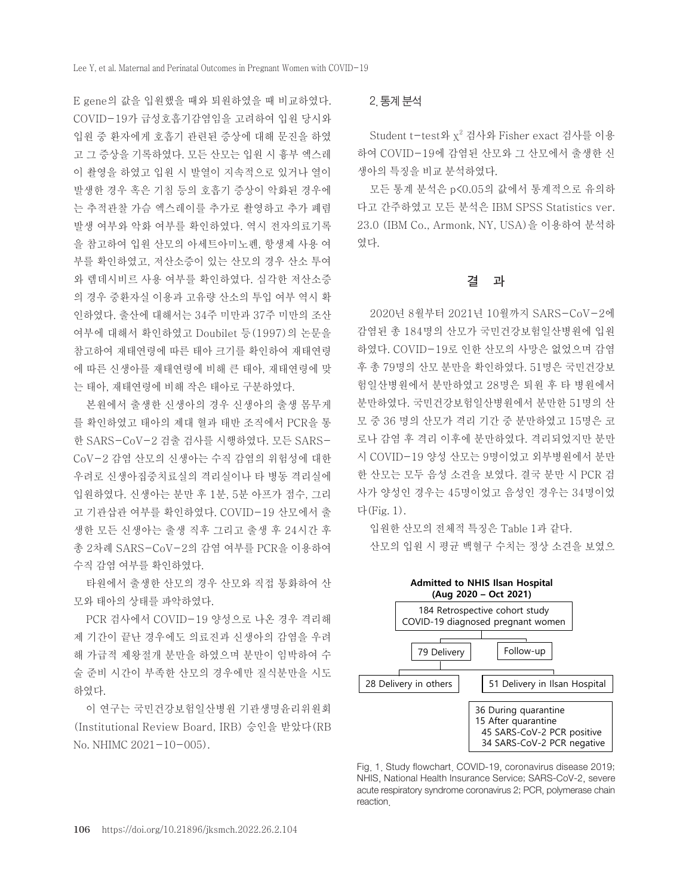E gene의 값을 입원했을 때와 퇴원하였을 때 비교하였다. COVID-19가 급성호흡기감염임을 고려하여 입원 당시와 입원 중 환자에게 호흡기 관련된 증상에 대해 문진을 하였 고 그 증상을 기록하였다. 모든 산모는 입원 시 흉부 엑스레 이 촬영을 하였고 입원 시 발열이 지속적으로 있거나 열이 발생한 경우 혹은 기침 등의 호흡기 증상이 악화된 경우에 는 추적관찰 가슴 엑스레이를 추가로 촬영하고 추가 폐렴 발생 여부와 악화 여부를 확인하였다. 역시 전자의료기록 을 참고하여 입원 산모의 아세트아미노펜, 항생제 사용 여 부를 확인하였고, 저산소증이 있는 산모의 경우 산소 투여 와 렘데시비르 사용 여부를 확인하였다. 심각한 저산소증 의 경우 중환자실 이용과 고유량 산소의 투입 여부 역시 확 인하였다. 출산에 대해서는 34주 미만과 37주 미만의 조산 여부에 대해서 확인하였고 Doubilet 등(1997)의 논문을 참고하여 재태연령에 따른 태아 크기를 확인하여 재태연령 에 따른 신생아를 재태연령에 비해 큰 태아, 재태연령에 맞 는 태아, 재태연령에 비해 작은 태아로 구분하였다.

본원에서 출생한 신생아의 경우 신생아의 출생 몸무게 를 확인하였고 태아의 제대 혈과 태반 조직에서 PCR을 통 한 SARS-CoV-2 검출 검사를 시행하였다. 모든 SARS-CoV-2 감염 산모의 신생아는 수직 감염의 위험성에 대한 우려로 신생아집중치료실의 격리실이나 타 병동 격리실에 입원하였다. 신생아는 분만 후 1분, 5분 아프가 점수, 그리 고 기관삽관 여부를 확인하였다. COVID-19 산모에서 출 생한 모든 신생아는 출생 직후 그리고 출생 후 24시간 후 총 2차례 SARS-CoV-2의 감염 여부를 PCR을 이용하여 수직 감염 여부를 확인하였다.

타원에서 출생한 산모의 경우 산모와 직접 통화하여 산 모와 태아의 상태를 파악하였다.

PCR 검사에서 COVID-19 양성으로 나온 경우 격리해 제 기간이 끝난 경우에도 의료진과 신생아의 감염을 우려 해 가급적 제왕절개 분만을 하였으며 분만이 임박하여 수 술 준비 시간이 부족한 산모의 경우에만 질식분만을 시도 하였다.

이 연구는 국민건강보험일산병원 기관생명윤리위원회 (Institutional Review Board, IRB) 승인을 받았다(RB No. NHIMC 2021-10-005).

#### 2. 통계 분석

Student t-test와 χ<sup>2</sup> 검사와 Fisher exact 검사를 이용 하여 COVID-19에 감염된 산모와 그 산모에서 출생한 신 생아의 특징을 비교 분석하였다.

모든 통계 분석은 p<0.05의 값에서 통계적으로 유의하 다고 간주하였고 모든 분석은 IBM SPSS Statistics ver. 23.0 (IBM Co., Armonk, NY, USA)을 이용하여 분석하 였다.

#### 결 과

2020년 8월부터 2021년 10월까지 SARS-CoV-2에 감염된 총 184명의 산모가 국민건강보험일산병원에 입원 하였다. COVID-19로 인한 산모의 사망은 없었으며 감염 후 총 79명의 산모 분만을 확인하였다. 51명은 국민건강보 험일산병원에서 분만하였고 28명은 퇴원 후 타 병원에서 분만하였다. 국민건강보험일산병원에서 분만한 51명의 산 모 중 36 명의 산모가 격리 기간 중 분만하였고 15명은 코 로나 감염 후 격리 이후에 분만하였다. 격리되었지만 분만 시 COVID-19 양성 산모는 9명이었고 외부병원에서 분만 한 산모는 모두 음성 소견을 보였다. 결국 분만 시 PCR 검 사가 양성인 경우는 45명이었고 음성인 경우는 34명이었 다(Fig. 1).

입원한 산모의 전체적 특징은 Table 1과 같다. 산모의 입원 시 평균 백혈구 수치는 정상 소견을 보였으



Fig. 1. Study flowchart. COVID-19, coronavirus disease 2019; NHIS, National Health Insurance Service; SARS-CoV-2, severe acute respiratory syndrome coronavirus 2; PCR, polymerase chain reaction.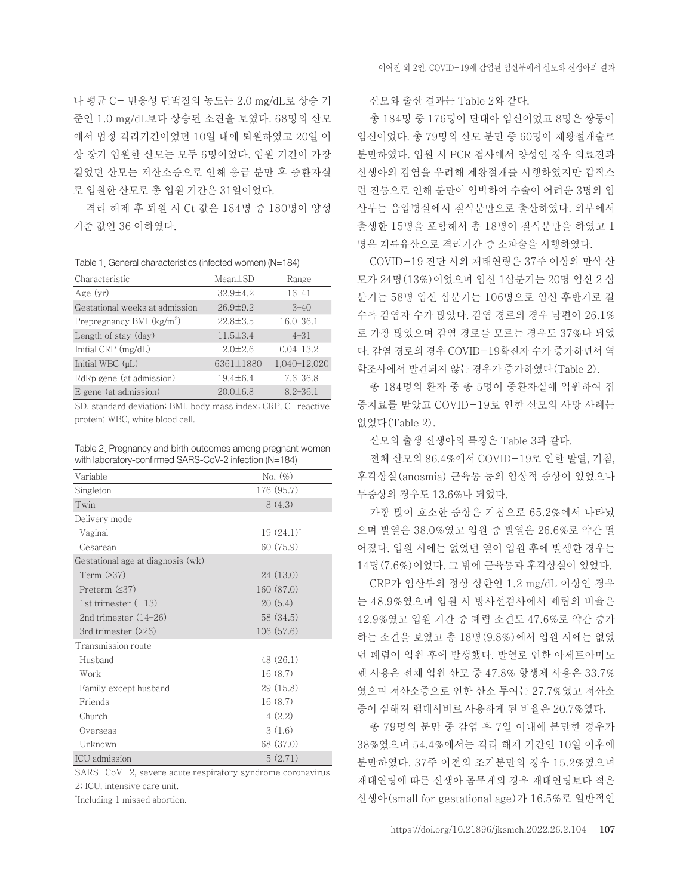나 평균 C- 반응성 단백질의 농도는 2.0 mg/dL로 상승 기 준인 1.0 mg/dL보다 상승된 소견을 보였다. 68명의 산모 에서 법정 격리기간이었던 10일 내에 퇴원하였고 20일 이 상 장기 입원한 산모는 모두 6명이었다. 입원 기간이 가장 길었던 산모는 저산소증으로 인해 응급 분만 후 중환자실 로 입원한 산모로 총 입원 기간은 31일이었다.

격리 해제 후 퇴원 시 Ct 값은 184명 중 180명이 양성 기준 값인 36 이하였다.

Table 1. General characteristics (infected women) (N=184)

| Characteristic                        | $Mean \pm SD$  | Range         |
|---------------------------------------|----------------|---------------|
| Age $(yr)$                            | $32.9 \pm 4.2$ | $16 - 41$     |
| Gestational weeks at admission        | $26.9 \pm 9.2$ | $3 - 40$      |
| Prepregnancy BMI (kg/m <sup>2</sup> ) | $22.8 \pm 3.5$ | $16.0 - 36.1$ |
| Length of stay (day)                  | $11.5 \pm 3.4$ | $4 - 31$      |
| Initial $CRP$ (mg/dL)                 | $2.0 \pm 2.6$  | $0.04 - 13.2$ |
| Initial WBC (µL)                      | 6361±1880      | 1,040-12,020  |
| RdRp gene (at admission)              | $19.4 \pm 6.4$ | $7.6 - 36.8$  |
| E gene (at admission)                 | $20.0 \pm 6.8$ | $8.2 - 36.1$  |

SD, standard deviation: BMI, body mass index; CRP, C-reactive protein; WBC, white blood cell.

| Table 2. Pregnancy and birth outcomes among pregnant women |
|------------------------------------------------------------|
| with laboratory-confirmed SARS-CoV-2 infection (N=184)     |

| Variable                          | No. $(\%)$              |
|-----------------------------------|-------------------------|
| Singleton                         | 176 (95.7)              |
| Twin                              | 8(4.3)                  |
| Delivery mode                     |                         |
| Vaginal                           | $19(24.1)$ <sup>*</sup> |
| Cesarean                          | 60 (75.9)               |
| Gestational age at diagnosis (wk) |                         |
| Term $(237)$                      | 24 (13.0)               |
| Preterm $(<37)$                   | 160 (87.0)              |
| 1st trimester $(-13)$             | 20(5.4)                 |
| 2nd trimester $(14-26)$           | 58 (34.5)               |
| 3rd trimester $(26)$              | 106 (57.6)              |
| Transmission route                |                         |
| Husband                           | 48 (26.1)               |
| Work                              | 16(8.7)                 |
| Family except husband             | 29(15.8)                |
| Friends                           | 16(8.7)                 |
| Church                            | 4(2.2)                  |
| Overseas                          | 3(1.6)                  |
| Unknown                           | 68 (37.0)               |
| <b>ICU</b> admission              | 5(2.71)                 |

SARS-CoV-2, severe acute respiratory syndrome coronavirus 2; ICU, intensive care unit.

\* Including 1 missed abortion.

산모와 출산 결과는 Table 2와 같다.

총 184명 중 176명이 단태아 임신이었고 8명은 쌍둥이 임신이었다. 총 79명의 산모 분만 중 60명이 제왕절개술로 분만하였다. 입원 시 PCR 검사에서 양성인 경우 의료진과 신생아의 감염을 우려해 제왕절개를 시행하였지만 갑작스 런 진통으로 인해 분만이 임박하여 수술이 어려운 3명의 임 산부는 음압병실에서 질식분만으로 출산하였다. 외부에서 출생한 15명을 포함해서 총 18명이 질식분만을 하였고 1 명은 계류유산으로 격리기간 중 소파술을 시행하였다.

COVID-19 진단 시의 재태연령은 37주 이상의 만삭 산 모가 24명(13%)이었으며 임신 1삼분기는 20명 임신 2 삼 분기는 58명 임신 삼분기는 106명으로 임신 후반기로 갈 수록 감염자 수가 많았다. 감염 경로의 경우 남편이 26.1% 로 가장 많았으며 감염 경로를 모르는 경우도 37%나 되었 다. 감염 경로의 경우 COVID-19확진자 수가 증가하면서 역 학조사에서 발견되지 않는 경우가 증가하였다(Table 2).

총 184명의 환자 중 총 5명이 중환자실에 입원하여 집 중치료를 받았고 COVID-19로 인한 산모의 사망 사례는 없었다(Table 2).

산모의 출생 신생아의 특징은 Table 3과 같다.

전체 산모의 86.4%에서 COVID-19로 인한 발열, 기침, 후각상실(anosmia) 근육통 등의 임상적 증상이 있었으나 무증상의 경우도 13.6%나 되었다.

가장 많이 호소한 증상은 기침으로 65.2%에서 나타났 으며 발열은 38.0%였고 입원 중 발열은 26.6%로 약간 떨 어졌다. 입원 시에는 없었던 열이 입원 후에 발생한 경우는 14명(7.6%)이었다. 그 밖에 근육통과 후각상실이 있었다.

CRP가 임산부의 정상 상한인 1.2 mg/dL 이상인 경우 는 48.9%였으며 입원 시 방사선검사에서 폐렴의 비율은 42.9%였고 입원 기간 중 폐렴 소견도 47.6%로 약간 증가 하는 소견을 보였고 총 18명(9.8%)에서 입원 시에는 없었 던 폐렴이 입원 후에 발생했다. 발열로 인한 아세트아미노 펜 사용은 전체 입원 산모 중 47.8% 항생제 사용은 33.7% 였으며 저산소증으로 인한 산소 투여는 27.7%였고 저산소 증이 심해져 렘데시비르 사용하게 된 비율은 20.7%였다.

총 79명의 분만 중 감염 후 7일 이내에 분만한 경우가 38%였으며 54.4%에서는 격리 해제 기간인 10일 이후에 분만하였다. 37주 이전의 조기분만의 경우 15.2%였으며 재태연령에 따른 신생아 몸무게의 경우 재태연령보다 적은 신생아(small for gestational age)가 16.5%로 일반적인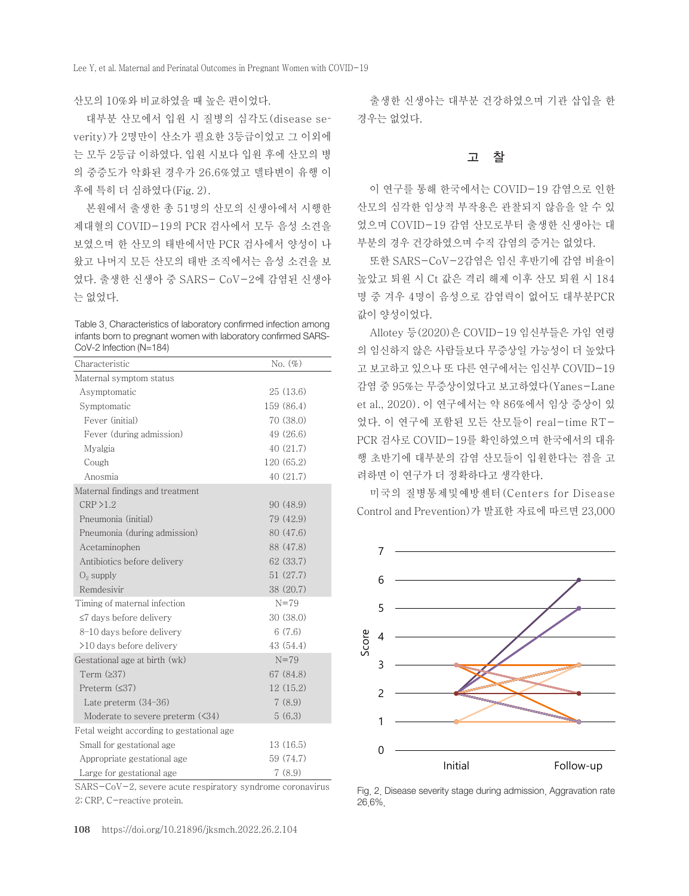#### 산모의 10%와 비교하였을 때 높은 편이었다.

대부분 산모에서 입원 시 질병의 심각도(disease severity)가 2명만이 산소가 필요한 3등급이었고 그 이외에 는 모두 2등급 이하였다. 입원 시보다 입원 후에 산모의 병 의 중증도가 악화된 경우가 26.6%였고 델타변이 유행 이 후에 특히 더 심하였다(Fig. 2).

본원에서 출생한 총 51명의 산모의 신생아에서 시행한 제대혈의 COVID-19의 PCR 검사에서 모두 음성 소견을 보였으며 한 산모의 태반에서만 PCR 검사에서 양성이 나 왔고 나머지 모든 산모의 태반 조직에서는 음성 소견을 보 였다. 출생한 신생아 중 SARS- CoV-2에 감염된 신생아 는 없었다.

Table 3. Characteristics of laboratory confirmed infection among infants born to pregnant women with laboratory confirmed SARS-CoV-2 Infection (N=184)

| Characteristic                            | No. $(\%)$  |
|-------------------------------------------|-------------|
| Maternal symptom status                   |             |
| Asymptomatic                              | 25(13.6)    |
| Symptomatic                               | 159 (86.4)  |
| Fever (initial)                           | 70 (38.0)   |
| Fever (during admission)                  | 49 (26.6)   |
| Myalgia                                   | 40 (21.7)   |
| Cough                                     | 120 (65.2)  |
| Anosmia                                   | 40(21.7)    |
| Maternal findings and treatment           |             |
| CRP > 1.2                                 | 90 (48.9)   |
| Pneumonia (initial)                       | 79 (42.9)   |
| Pneumonia (during admission)              | 80 (47.6)   |
| Acetaminophen                             | 88 (47.8)   |
| Antibiotics before delivery               | 62 (33.7)   |
| $O_2$ supply                              | 51 (27.7)   |
| Remdesivir                                | 38 (20.7)   |
| Timing of maternal infection              | $N=79$      |
| $\leq$ 7 days before delivery             | 30(38.0)    |
| 8-10 days before delivery                 | 6(7.6)      |
| >10 days before delivery                  | 43 $(54.4)$ |
| Gestational age at birth (wk)             | $N = 79$    |
| Term $(237)$                              | 67 (84.8)   |
| Preterm $(≤37)$                           | 12(15.2)    |
| Late preterm $(34-36)$                    | 7(8.9)      |
| Moderate to severe preterm $(34)$         | 5(6.3)      |
| Fetal weight according to gestational age |             |
| Small for gestational age                 | 13 (16.5)   |
| Appropriate gestational age               | 59 (74.7)   |
| Large for gestational age                 | 7(8.9)      |

SARS-CoV-2, severe acute respiratory syndrome coronavirus 2; CRP, C-reactive protein.

출생한 신생아는 대부분 건강하였으며 기관 삽입을 한 경우는 없었다.

#### 고 찰

이 연구를 통해 한국에서는 COVID-19 감염으로 인한 산모의 심각한 임상적 부작용은 관찰되지 않음을 알 수 있 었으며 COVID-19 감염 산모로부터 출생한 신생아는 대 부분의 경우 건강하였으며 수직 감염의 증거는 없었다.

또한 SARS-CoV-2감염은 임신 후반기에 감염 비율이 높았고 퇴원 시 Ct 값은 격리 해제 이후 산모 퇴원 시 184 명 중 겨우 4명이 음성으로 감염력이 없어도 대부분PCR 값이 양성이었다.

Allotey 등(2020)은 COVID-19 임신부들은 가임 연령 의 임신하지 않은 사람들보다 무증상일 가능성이 더 높았다 고 보고하고 있으나 또 다른 연구에서는 임신부 COVID-19 감염 중 95%는 무증상이었다고 보고하였다(Yanes-Lane et al., 2020). 이 연구에서는 약 86%에서 임상 증상이 있 었다. 이 연구에 포함된 모든 산모들이 real-time RT-PCR 검사로 COVID-19를 확인하였으며 한국에서의 대유 행 초반기에 대부분의 감염 산모들이 입원한다는 점을 고 려하면 이 연구가 더 정확하다고 생각한다.

미국의 질병통제및예방센터(Centers for Disease Control and Prevention)가 발표한 자료에 따르면 23,000



Fig. 2. Disease severity stage during admission. Aggravation rate 26.6%.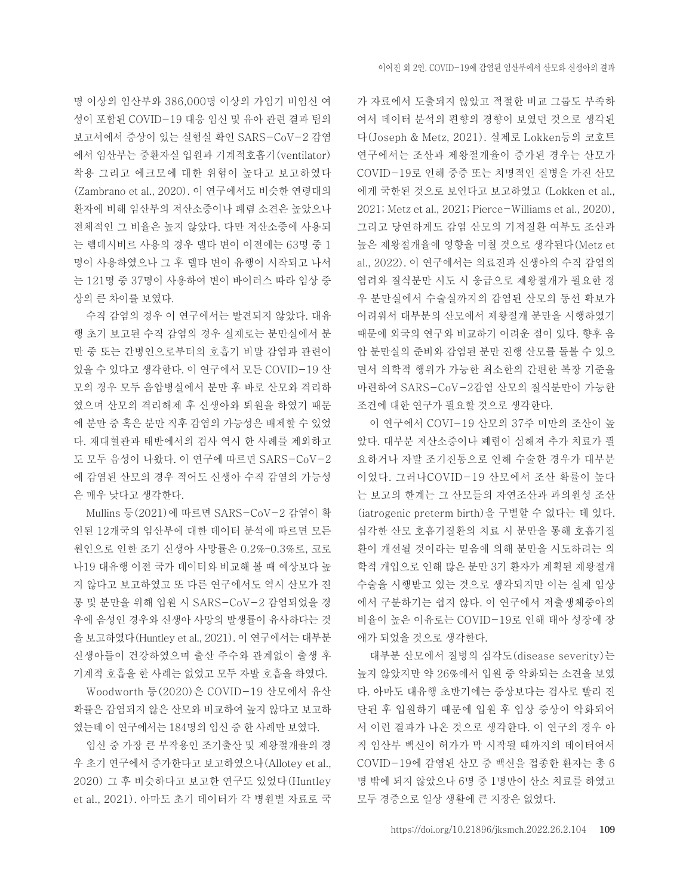명 이상의 임산부와 386,000명 이상의 가임기 비임신 여 성이 포함된 COVID-19 대응 임신 및 유아 관련 결과 팀의 보고서에서 증상이 있는 실험실 확인 SARS-CoV-2 감염 에서 임산부는 중환자실 입원과 기계적호흡기(ventilator) 착용 그리고 에크모에 대한 위험이 높다고 보고하였다 (Zambrano et al., 2020). 이 연구에서도 비슷한 연령대의 환자에 비해 임산부의 저산소증이나 폐렴 소견은 높았으나 전체적인 그 비율은 높지 않았다. 다만 저산소증에 사용되 는 렘데시비르 사용의 경우 델타 변이 이전에는 63명 중 1 명이 사용하였으나 그 후 델타 변이 유행이 시작되고 나서 는 121명 중 37명이 사용하여 변이 바이러스 따라 임상 증 상의 큰 차이를 보였다.

수직 감염의 경우 이 연구에서는 발견되지 않았다. 대유 행 초기 보고된 수직 감염의 경우 실제로는 분만실에서 분 만 중 또는 간병인으로부터의 호흡기 비말 감염과 관련이 있을 수 있다고 생각한다. 이 연구에서 모든 COVID-19 산 모의 경우 모두 음압병실에서 분만 후 바로 산모와 격리하 였으며 산모의 격리해제 후 신생아와 퇴원을 하였기 때문 에 분만 중 혹은 분만 직후 감염의 가능성은 배제할 수 있었 다. 재대혈관과 태반에서의 검사 역시 한 사례를 제외하고 도 모두 음성이 나왔다. 이 연구에 따르면 SARS-CoV-2 에 감염된 산모의 경우 적어도 신생아 수직 감염의 가능성 은 매우 낮다고 생각한다.

Mullins 등(2021)에 따르면 SARS-CoV-2 감염이 확 인된 12개국의 임산부에 대한 데이터 분석에 따르면 모든 원인으로 인한 조기 신생아 사망률은 0.2%–0.3%로, 코로 나19 대유행 이전 국가 데이터와 비교해 볼 때 예상보다 높 지 않다고 보고하였고 또 다른 연구에서도 역시 산모가 진 통 및 분만을 위해 입원 시 SARS-CoV-2 감염되었을 경 우에 음성인 경우와 신생아 사망의 발생률이 유사하다는 것 을 보고하였다(Huntley et al., 2021). 이 연구에서는 대부분 신생아들이 건강하였으며 출산 주수와 관계없이 출생 후 기계적 호흡을 한 사례는 없었고 모두 자발 호흡을 하였다.

Woodworth 등(2020)은 COVID-19 산모에서 유산 확률은 감염되지 않은 산모와 비교하여 높지 않다고 보고하 였는데 이 연구에서는 184명의 임신 중 한 사례만 보였다.

임신 중 가장 큰 부작용인 조기출산 및 제왕절개율의 경 우 초기 연구에서 증가한다고 보고하였으나(Allotey et al., 2020) 그 후 비슷하다고 보고한 연구도 있었다(Huntley et al., 2021). 아마도 초기 데이터가 각 병원별 자료로 국

가 자료에서 도출되지 않았고 적절한 비교 그룹도 부족하 여서 데이터 분석의 편향의 경향이 보였던 것으로 생각된 다(Joseph & Metz, 2021). 실제로 Lokken등의 코호트 연구에서는 조산과 제왕절개율이 증가된 경우는 산모가 COVID-19로 인해 중증 또는 치명적인 질병을 가진 산모 에게 국한된 것으로 보인다고 보고하였고 (Lokken et al., 2021; Metz et al., 2021; Pierce-Williams et al., 2020), 그리고 당연하게도 감염 산모의 기저질환 여부도 조산과 높은 제왕절개율에 영향을 미칠 것으로 생각된다(Metz et al., 2022). 이 연구에서는 의료진과 신생아의 수직 감염의 염려와 질식분만 시도 시 응급으로 제왕절개가 필요한 경 우 분만실에서 수술실까지의 감염된 산모의 동선 확보가 어려워서 대부분의 산모에서 제왕절개 분만을 시행하였기 때문에 외국의 연구와 비교하기 어려운 점이 있다. 향후 음 압 분만실의 준비와 감염된 분만 진행 산모를 돌볼 수 있으 면서 의학적 행위가 가능한 최소한의 간편한 복장 기준을 마련하여 SARS-CoV-2감염 산모의 질식분만이 가능한 조건에 대한 연구가 필요할 것으로 생각한다.

이 연구에서 COVI-19 산모의 37주 미만의 조산이 높 았다. 대부분 저산소증이나 폐렴이 심해져 추가 치료가 필 요하거나 자발 조기진통으로 인해 수술한 경우가 대부분 이었다. 그러나COVID-19 산모에서 조산 확률이 높다 는 보고의 한계는 그 산모들의 자연조산과 과의원성 조산 (iatrogenic preterm birth)을 구별할 수 없다는 데 있다. 심각한 산모 호흡기질환의 치료 시 분만을 통해 호흡기질 환이 개선될 것이라는 믿음에 의해 분만을 시도하려는 의 학적 개입으로 인해 많은 분만 3기 환자가 계획된 제왕절개 수술을 시행받고 있는 것으로 생각되지만 이는 실제 임상 에서 구분하기는 쉽지 않다. 이 연구에서 저출생체중아의 비율이 높은 이유로는 COVID-19로 인해 태아 성장에 장 애가 되었을 것으로 생각한다.

대부분 산모에서 질병의 심각도(disease severity)는 높지 않았지만 약 26%에서 입원 중 악화되는 소견을 보였 다. 아마도 대유행 초반기에는 증상보다는 검사로 빨리 진 단된 후 입원하기 때문에 입원 후 임상 증상이 악화되어 서 이런 결과가 나온 것으로 생각한다. 이 연구의 경우 아 직 임산부 백신이 허가가 막 시작될 때까지의 데이터여서 COVID-19에 감염된 산모 중 백신을 접종한 환자는 총 6 명 밖에 되지 않았으나 6명 중 1명만이 산소 치료를 하였고 모두 경증으로 일상 생활에 큰 지장은 없었다.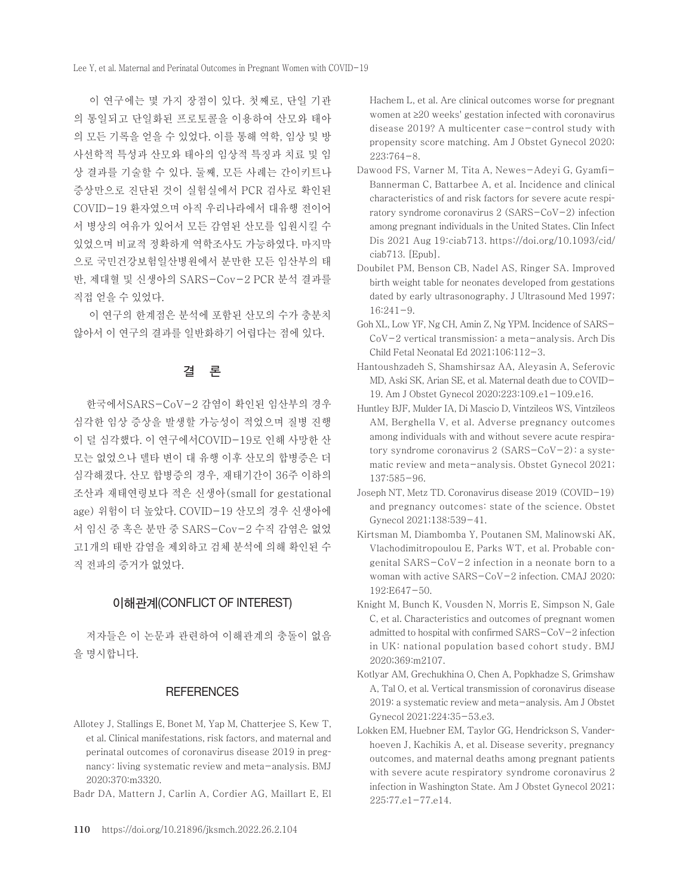이 연구에는 몇 가지 장점이 있다. 첫째로, 단일 기관 의 통일되고 단일화된 프로토콜을 이용하여 산모와 태아 의 모든 기록을 얻을 수 있었다. 이를 통해 역학, 임상 및 방 사선학적 특성과 산모와 태아의 임상적 특징과 치료 및 임 상 결과를 기술할 수 있다. 둘째, 모든 사례는 간이키트나 증상만으로 진단된 것이 실험실에서 PCR 검사로 확인된 COVID-19 환자였으며 아직 우리나라에서 대유행 전이어 서 병상의 여유가 있어서 모든 감염된 산모를 입원시킬 수 있었으며 비교적 정확하게 역학조사도 가능하였다. 마지막 으로 국민건강보험일산병원에서 분만한 모든 임산부의 태 반, 제대혈 및 신생아의 SARS-Cov-2 PCR 분석 결과를 직접 얻을 수 있었다.

 이 연구의 한계점은 분석에 포함된 산모의 수가 충분치 않아서 이 연구의 결과를 일반화하기 어렵다는 점에 있다.

## 결 론

한국에서SARS-CoV-2 감염이 확인된 임산부의 경우 심각한 임상 증상을 발생할 가능성이 적었으며 질병 진행 이 덜 심각했다. 이 연구에서COVID-19로 인해 사망한 산 모는 없었으나 델타 변이 대 유행 이후 산모의 합병증은 더 심각해졌다. 산모 합병증의 경우, 재태기간이 36주 이하의 조산과 재태연령보다 적은 신생아(small for gestational age) 위험이 더 높았다. COVID-19 산모의 경우 신생아에 서 임신 중 혹은 분만 중 SARS-Cov-2 수직 감염은 없었 고1개의 태반 감염을 제외하고 검체 분석에 의해 확인된 수 직 전파의 증거가 없었다.

#### 이해관계(CONFLICT OF INTEREST)

저자들은 이 논문과 관련하여 이해관계의 충돌이 없음 을 명시합니다.

#### **REFERENCES**

- Allotey J, Stallings E, Bonet M, Yap M, Chatterjee S, Kew T, et al. Clinical manifestations, risk factors, and maternal and perinatal outcomes of coronavirus disease 2019 in pregnancy: living systematic review and meta-analysis. BMJ 2020;370:m3320.
- Badr DA, Mattern J, Carlin A, Cordier AG, Maillart E, El

Hachem L, et al. Are clinical outcomes worse for pregnant women at ≥20 weeks' gestation infected with coronavirus disease 2019? A multicenter case-control study with propensity score matching. Am J Obstet Gynecol 2020; 223:764-8.

- Dawood FS, Varner M, Tita A, Newes-Adeyi G, Gyamfi-Bannerman C, Battarbee A, et al. Incidence and clinical characteristics of and risk factors for severe acute respiratory syndrome coronavirus 2 (SARS-CoV-2) infection among pregnant individuals in the United States. Clin Infect Dis 2021 Aug 19:ciab713. [https://doi.org/10.1093/cid/](https://doi.org/10.1093/cid/ciab713) [ciab713](https://doi.org/10.1093/cid/ciab713). [Epub].
- Doubilet PM, Benson CB, Nadel AS, Ringer SA. Improved birth weight table for neonates developed from gestations dated by early ultrasonography. J Ultrasound Med 1997;  $16:241-9$ .
- Goh XL, Low YF, Ng CH, Amin Z, Ng YPM. Incidence of SARS-CoV-2 vertical transmission: a meta-analysis. Arch Dis Child Fetal Neonatal Ed 2021;106:112-3.
- Hantoushzadeh S, Shamshirsaz AA, Aleyasin A, Seferovic MD, Aski SK, Arian SE, et al. Maternal death due to COVID-19. Am J Obstet Gynecol 2020;223:109.e1-109.e16.
- Huntley BJF, Mulder IA, Di Mascio D, Vintzileos WS, Vintzileos AM, Berghella V, et al. Adverse pregnancy outcomes among individuals with and without severe acute respiratory syndrome coronavirus 2 (SARS-CoV-2): a systematic review and meta-analysis. Obstet Gynecol 2021; 137:585-96.
- Joseph NT, Metz TD. Coronavirus disease 2019 (COVID-19) and pregnancy outcomes: state of the science. Obstet Gynecol 2021;138:539-41.
- Kirtsman M, Diambomba Y, Poutanen SM, Malinowski AK, Vlachodimitropoulou E, Parks WT, et al. Probable congenital SARS-CoV-2 infection in a neonate born to a woman with active SARS-CoV-2 infection. CMAJ 2020; 192:E647-50.
- Knight M, Bunch K, Vousden N, Morris E, Simpson N, Gale C, et al. Characteristics and outcomes of pregnant women admitted to hospital with confirmed SARS-CoV-2 infection in UK: national population based cohort study. BMJ 2020;369:m2107.
- Kotlyar AM, Grechukhina O, Chen A, Popkhadze S, Grimshaw A, Tal O, et al. Vertical transmission of coronavirus disease 2019: a systematic review and meta-analysis. Am J Obstet Gynecol 2021;224:35-53.e3.
- Lokken EM, Huebner EM, Taylor GG, Hendrickson S, Vanderhoeven J, Kachikis A, et al. Disease severity, pregnancy outcomes, and maternal deaths among pregnant patients with severe acute respiratory syndrome coronavirus 2 infection in Washington State. Am J Obstet Gynecol 2021; 225:77.e1-77.e14.